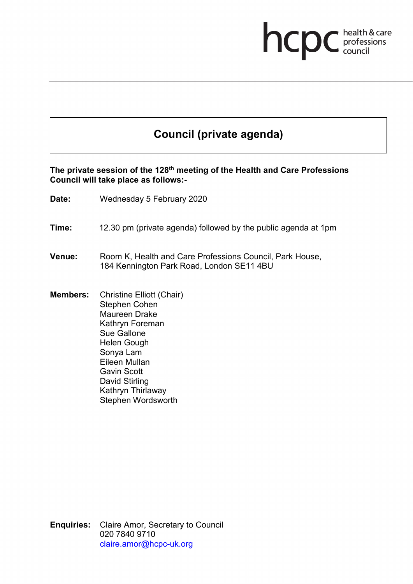# **health & care**

## **Council (private agenda)**

#### **The private session of the 128th meeting of the Health and Care Professions Council will take place as follows:-**

- **Date:** Wednesday 5 February 2020
- **Time:** 12.30 pm (private agenda) followed by the public agenda at 1pm
- **Venue:** Room K, Health and Care Professions Council, Park House, 184 Kennington Park Road, London SE11 4BU
- **Members:** Christine Elliott (Chair) Stephen Cohen Maureen Drake Kathryn Foreman Sue Gallone Helen Gough Sonya Lam Eileen Mullan Gavin Scott David Stirling Kathryn Thirlaway Stephen Wordsworth

**Enquiries:** Claire Amor, Secretary to Council 020 7840 9710 [claire.amor@hcpc-uk.org](mailto:claire.amor@hcpc-uk.org)